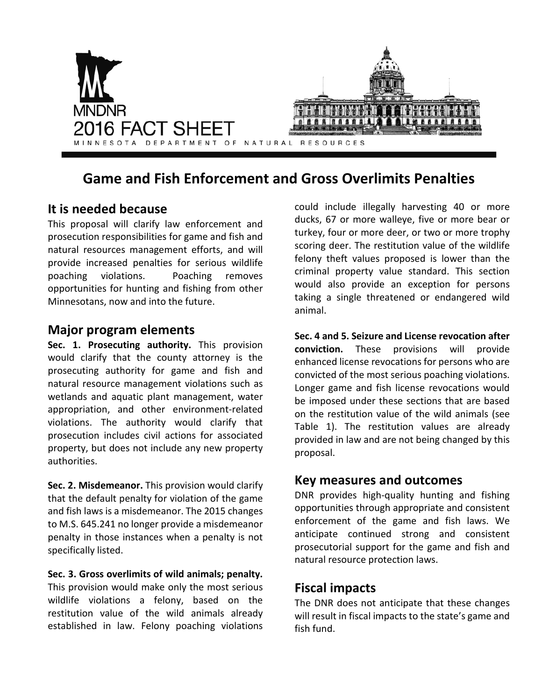

# **Game and Fish Enforcement and Gross Overlimits Penalties**

# **It is needed because**

This proposal will clarify law enforcement and prosecution responsibilities for game and fish and natural resources management efforts, and will provide increased penalties for serious wildlife poaching violations. Poaching removes opportunities for hunting and fishing from other Minnesotans, now and into the future.

## **Major program elements**

**Sec. 1. Prosecuting authority.** This provision would clarify that the county attorney is the prosecuting authority for game and fish and natural resource management violations such as wetlands and aquatic plant management, water appropriation, and other environment-related violations. The authority would clarify that prosecution includes civil actions for associated property, but does not include any new property authorities.

**Sec. 2. Misdemeanor.** This provision would clarify that the default penalty for violation of the game and fish laws is a misdemeanor. The 2015 changes to M.S. 645.241 no longer provide a misdemeanor penalty in those instances when a penalty is not specifically listed.

**Sec. 3. Gross overlimits of wild animals; penalty.**  This provision would make only the most serious wildlife violations a felony, based on the restitution value of the wild animals already established in law. Felony poaching violations could include illegally harvesting 40 or more ducks, 67 or more walleye, five or more bear or turkey, four or more deer, or two or more trophy scoring deer. The restitution value of the wildlife felony theft values proposed is lower than the criminal property value standard. This section would also provide an exception for persons taking a single threatened or endangered wild animal.

**Sec. 4 and 5. Seizure and License revocation after conviction.** These provisions will provide enhanced license revocations for persons who are convicted of the most serious poaching violations. Longer game and fish license revocations would be imposed under these sections that are based on the restitution value of the wild animals (see Table 1). The restitution values are already provided in law and are not being changed by this proposal.

#### **Key measures and outcomes**

DNR provides high-quality hunting and fishing opportunities through appropriate and consistent enforcement of the game and fish laws. We anticipate continued strong and consistent prosecutorial support for the game and fish and natural resource protection laws.

## **Fiscal impacts**

The DNR does not anticipate that these changes will result in fiscal impacts to the state's game and fish fund.